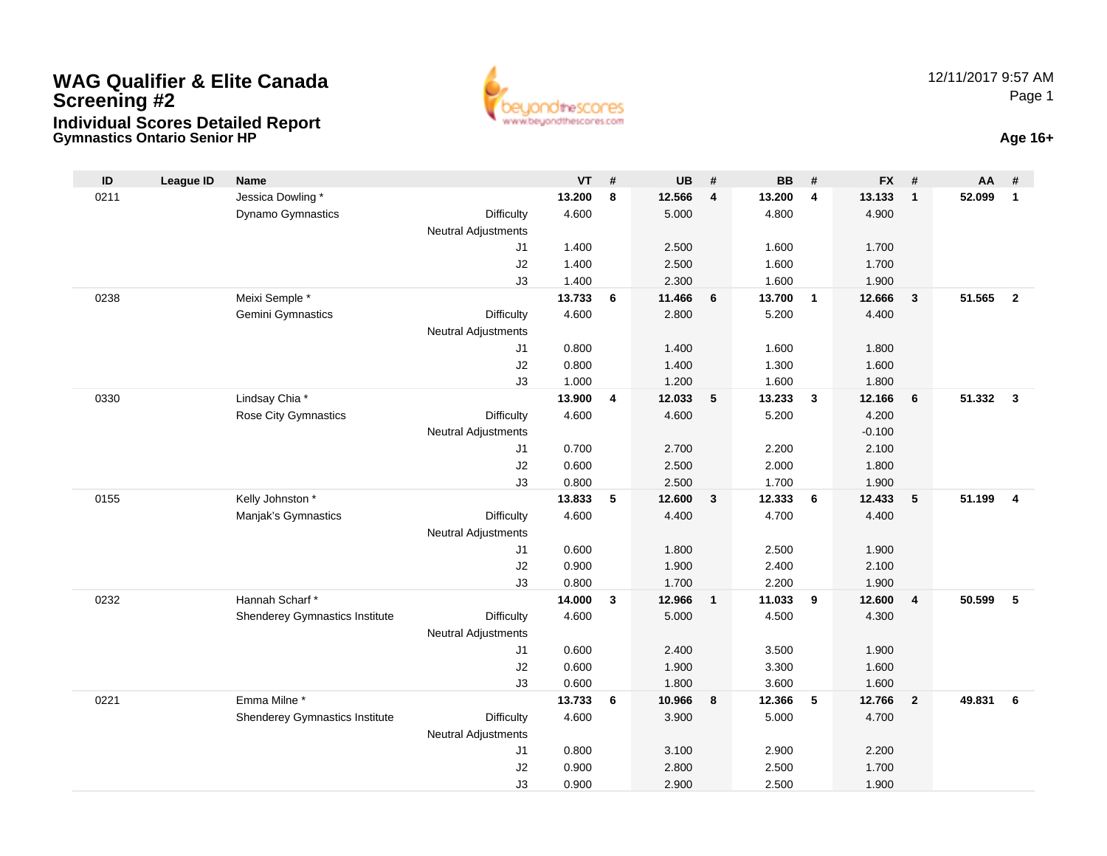## **Gymnastics Ontario Senior HP Age 16+ WAG Qualifier & Elite CanadaScreening #2Individual Scores Detailed Report**





| $\mathsf{ID}$ | <b>League ID</b> | Name                                  |                            | <b>VT</b>       | #              | <b>UB</b>       | #                       | <b>BB</b>       | #              | FX #            |                         | AA     | #                       |
|---------------|------------------|---------------------------------------|----------------------------|-----------------|----------------|-----------------|-------------------------|-----------------|----------------|-----------------|-------------------------|--------|-------------------------|
| 0211          |                  | Jessica Dowling*                      |                            | 13.200          | 8              | 12.566          | $\overline{\mathbf{4}}$ | 13.200          | $\overline{4}$ | 13.133          | $\overline{1}$          | 52.099 | $\overline{1}$          |
|               |                  | Dynamo Gymnastics                     | Difficulty                 | 4.600           |                | 5.000           |                         | 4.800           |                | 4.900           |                         |        |                         |
|               |                  |                                       | <b>Neutral Adjustments</b> |                 |                |                 |                         |                 |                |                 |                         |        |                         |
|               |                  |                                       | J <sub>1</sub>             | 1.400           |                | 2.500           |                         | 1.600           |                | 1.700           |                         |        |                         |
|               |                  |                                       | J2                         | 1.400           |                | 2.500           |                         | 1.600           |                | 1.700           |                         |        |                         |
|               |                  |                                       | J3                         | 1.400           |                | 2.300           |                         | 1.600           |                | 1.900           |                         |        |                         |
| 0238          |                  | Meixi Semple *                        |                            | 13.733          | 6              | 11.466          | 6                       | 13.700          | $\mathbf{1}$   | 12.666          | $\overline{\mathbf{3}}$ | 51.565 | $\overline{2}$          |
|               |                  | Gemini Gymnastics                     | <b>Difficulty</b>          | 4.600           |                | 2.800           |                         | 5.200           |                | 4.400           |                         |        |                         |
|               |                  |                                       | <b>Neutral Adjustments</b> |                 |                |                 |                         |                 |                |                 |                         |        |                         |
|               |                  |                                       | J <sub>1</sub>             | 0.800           |                | 1.400           |                         | 1.600           |                | 1.800           |                         |        |                         |
|               |                  |                                       | J2                         | 0.800           |                | 1.400           |                         | 1.300           |                | 1.600           |                         |        |                         |
|               |                  |                                       | J3                         | 1.000           |                | 1.200           |                         | 1.600           |                | 1.800           |                         |        |                         |
| 0330          |                  | Lindsay Chia *                        |                            | 13.900          | $\overline{4}$ | 12.033          | 5                       | 13.233          | $\mathbf{3}$   | 12.166          | 6                       | 51.332 | $\overline{\mathbf{3}}$ |
|               |                  | <b>Rose City Gymnastics</b>           | Difficulty                 | 4.600           |                | 4.600           |                         | 5.200           |                | 4.200           |                         |        |                         |
|               |                  |                                       | <b>Neutral Adjustments</b> |                 |                |                 |                         |                 |                | $-0.100$        |                         |        |                         |
|               |                  |                                       | J1                         | 0.700           |                | 2.700           |                         | 2.200           |                | 2.100           |                         |        |                         |
|               |                  |                                       | J2<br>J3                   | 0.600           |                | 2.500           |                         | 2.000           |                | 1.800           |                         |        |                         |
| 0155          |                  | Kelly Johnston *                      |                            | 0.800<br>13.833 | 5              | 2.500<br>12.600 | 3                       | 1.700<br>12.333 | 6              | 1.900<br>12.433 | $5\phantom{.0}$         | 51.199 | $\overline{4}$          |
|               |                  | Manjak's Gymnastics                   | <b>Difficulty</b>          | 4.600           |                | 4.400           |                         | 4.700           |                | 4.400           |                         |        |                         |
|               |                  |                                       | <b>Neutral Adjustments</b> |                 |                |                 |                         |                 |                |                 |                         |        |                         |
|               |                  |                                       | J1                         | 0.600           |                | 1.800           |                         | 2.500           |                | 1.900           |                         |        |                         |
|               |                  |                                       | J2                         | 0.900           |                | 1.900           |                         | 2.400           |                | 2.100           |                         |        |                         |
|               |                  |                                       | J3                         | 0.800           |                | 1.700           |                         | 2.200           |                | 1.900           |                         |        |                         |
| 0232          |                  | Hannah Scharf*                        |                            | 14.000          | $\mathbf{3}$   | 12.966          | $\mathbf{1}$            | 11.033          | 9              | 12.600          | $\overline{4}$          | 50.599 | 5                       |
|               |                  | <b>Shenderey Gymnastics Institute</b> | <b>Difficulty</b>          | 4.600           |                | 5.000           |                         | 4.500           |                | 4.300           |                         |        |                         |
|               |                  |                                       | <b>Neutral Adjustments</b> |                 |                |                 |                         |                 |                |                 |                         |        |                         |
|               |                  |                                       | J <sub>1</sub>             | 0.600           |                | 2.400           |                         | 3.500           |                | 1.900           |                         |        |                         |
|               |                  |                                       | J2                         | 0.600           |                | 1.900           |                         | 3.300           |                | 1.600           |                         |        |                         |
|               |                  |                                       | J3                         | 0.600           |                | 1.800           |                         | 3.600           |                | 1.600           |                         |        |                         |
| 0221          |                  | Emma Milne*                           |                            | 13.733          | 6              | 10.966          | 8                       | 12.366          | 5              | 12.766          | $\overline{\mathbf{2}}$ | 49.831 | 6                       |
|               |                  | <b>Shenderey Gymnastics Institute</b> | Difficulty                 | 4.600           |                | 3.900           |                         | 5.000           |                | 4.700           |                         |        |                         |
|               |                  |                                       | <b>Neutral Adjustments</b> |                 |                |                 |                         |                 |                |                 |                         |        |                         |
|               |                  |                                       | J <sub>1</sub>             | 0.800           |                | 3.100           |                         | 2.900           |                | 2.200           |                         |        |                         |
|               |                  |                                       | J2                         | 0.900           |                | 2.800           |                         | 2.500           |                | 1.700           |                         |        |                         |
|               |                  |                                       | J3                         | 0.900           |                | 2.900           |                         | 2.500           |                | 1.900           |                         |        |                         |